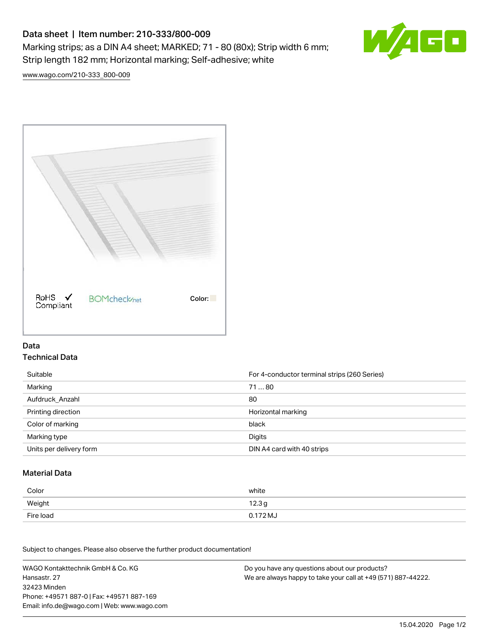# Data sheet | Item number: 210-333/800-009 Marking strips; as a DIN A4 sheet; MARKED; 71 - 80 (80x); Strip width 6 mm; Strip length 182 mm; Horizontal marking; Self-adhesive; white



[www.wago.com/210-333\\_800-009](http://www.wago.com/210-333_800-009)



### Data Technical Data

| Suitable                | For 4-conductor terminal strips (260 Series) |
|-------------------------|----------------------------------------------|
| Marking                 | 7180                                         |
| Aufdruck Anzahl         | 80                                           |
| Printing direction      | Horizontal marking                           |
| Color of marking        | black                                        |
| Marking type            | Digits                                       |
| Units per delivery form | DIN A4 card with 40 strips                   |

#### Material Data

| Color     | white             |
|-----------|-------------------|
| Weight    | 12.3 <sub>g</sub> |
| Fire load | 0.172 MJ          |

Subject to changes. Please also observe the further product documentation!

WAGO Kontakttechnik GmbH & Co. KG Hansastr. 27 32423 Minden Phone: +49571 887-0 | Fax: +49571 887-169 Email: info.de@wago.com | Web: www.wago.com Do you have any questions about our products? We are always happy to take your call at +49 (571) 887-44222.